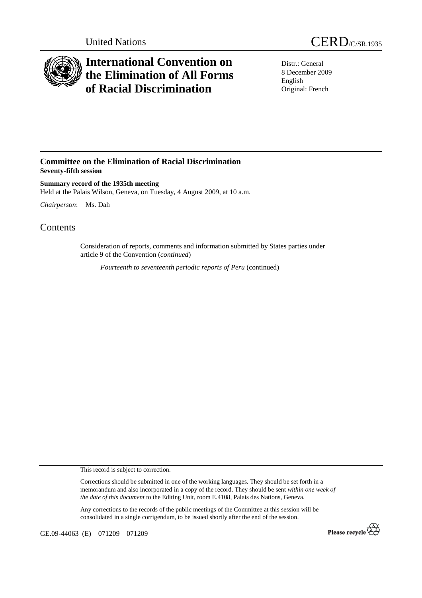

## **International Convention on the Elimination of All Forms of Racial Discrimination**

Distr.: General 8 December 2009 English Original: French

## **Committee on the Elimination of Racial Discrimination Seventy-fifth session**

**Summary record of the 1935th meeting**  Held at the Palais Wilson, Geneva, on Tuesday, 4 August 2009, at 10 a.m.

*Chairperson*: Ms. Dah

## **Contents**

Consideration of reports, comments and information submitted by States parties under article 9 of the Convention (*continued*)

*Fourteenth to seventeenth periodic reports of Peru* (continued)

This record is subject to correction.

Corrections should be submitted in one of the working languages. They should be set forth in a memorandum and also incorporated in a copy of the record. They should be sent *within one week of the date of this document* to the Editing Unit, room E.4108, Palais des Nations, Geneva.

Any corrections to the records of the public meetings of the Committee at this session will be consolidated in a single corrigendum, to be issued shortly after the end of the session.

GE.09-44063 (E) 071209 071209

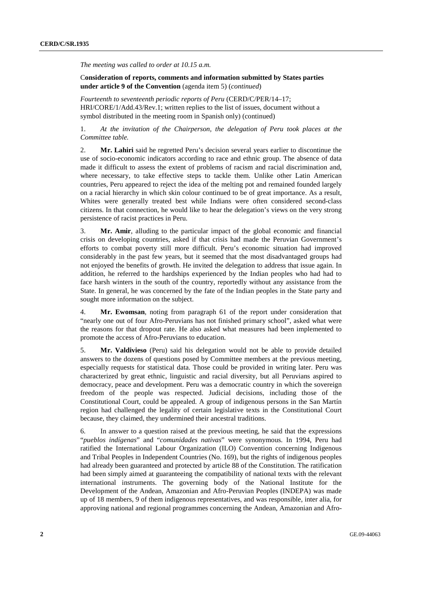*The meeting was called to order at 10.15 a.m.* 

C**onsideration of reports, comments and information submitted by States parties under article 9 of the Convention** (agenda item 5) (*continued*)

*Fourteenth to seventeenth periodic reports of Peru* (CERD/C/PER/14–17; HRI/CORE/1/Add.43/Rev.1; written replies to the list of issues, document without a symbol distributed in the meeting room in Spanish only) (continued)

1. *At the invitation of the Chairperson, the delegation of Peru took places at the Committee table.* 

2. **Mr. Lahiri** said he regretted Peru's decision several years earlier to discontinue the use of socio-economic indicators according to race and ethnic group. The absence of data made it difficult to assess the extent of problems of racism and racial discrimination and, where necessary, to take effective steps to tackle them. Unlike other Latin American countries, Peru appeared to reject the idea of the melting pot and remained founded largely on a racial hierarchy in which skin colour continued to be of great importance. As a result, Whites were generally treated best while Indians were often considered second-class citizens. In that connection, he would like to hear the delegation's views on the very strong persistence of racist practices in Peru.

3. **Mr. Amir**, alluding to the particular impact of the global economic and financial crisis on developing countries, asked if that crisis had made the Peruvian Government's efforts to combat poverty still more difficult. Peru's economic situation had improved considerably in the past few years, but it seemed that the most disadvantaged groups had not enjoyed the benefits of growth. He invited the delegation to address that issue again. In addition, he referred to the hardships experienced by the Indian peoples who had had to face harsh winters in the south of the country, reportedly without any assistance from the State. In general, he was concerned by the fate of the Indian peoples in the State party and sought more information on the subject.

4. **Mr. Ewomsan**, noting from paragraph 61 of the report under consideration that "nearly one out of four Afro-Peruvians has not finished primary school", asked what were the reasons for that dropout rate. He also asked what measures had been implemented to promote the access of Afro-Peruvians to education.

5. **Mr. Valdivieso** (Peru) said his delegation would not be able to provide detailed answers to the dozens of questions posed by Committee members at the previous meeting, especially requests for statistical data. Those could be provided in writing later. Peru was characterized by great ethnic, linguistic and racial diversity, but all Peruvians aspired to democracy, peace and development. Peru was a democratic country in which the sovereign freedom of the people was respected. Judicial decisions, including those of the Constitutional Court, could be appealed. A group of indigenous persons in the San Martín region had challenged the legality of certain legislative texts in the Constitutional Court because, they claimed, they undermined their ancestral traditions.

6. In answer to a question raised at the previous meeting, he said that the expressions "*pueblos indígenas*" and "*comunidades nativas*" were synonymous. In 1994, Peru had ratified the International Labour Organization (ILO) Convention concerning Indigenous and Tribal Peoples in Independent Countries (No. 169), but the rights of indigenous peoples had already been guaranteed and protected by article 88 of the Constitution. The ratification had been simply aimed at guaranteeing the compatibility of national texts with the relevant international instruments. The governing body of the National Institute for the Development of the Andean, Amazonian and Afro-Peruvian Peoples (INDEPA) was made up of 18 members, 9 of them indigenous representatives, and was responsible, inter alia, for approving national and regional programmes concerning the Andean, Amazonian and Afro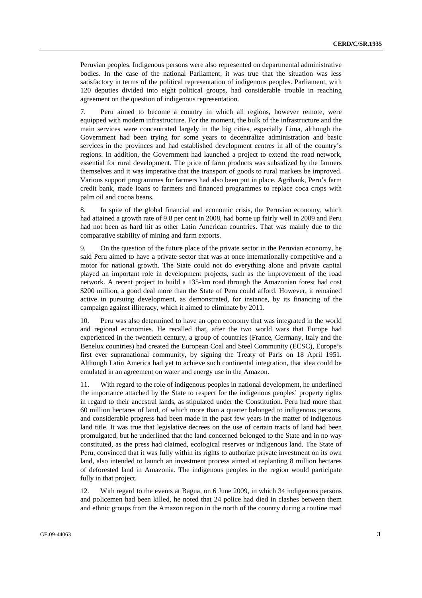Peruvian peoples. Indigenous persons were also represented on departmental administrative bodies. In the case of the national Parliament, it was true that the situation was less satisfactory in terms of the political representation of indigenous peoples. Parliament, with 120 deputies divided into eight political groups, had considerable trouble in reaching agreement on the question of indigenous representation.

7. Peru aimed to become a country in which all regions, however remote, were equipped with modern infrastructure. For the moment, the bulk of the infrastructure and the main services were concentrated largely in the big cities, especially Lima, although the Government had been trying for some years to decentralize administration and basic services in the provinces and had established development centres in all of the country's regions. In addition, the Government had launched a project to extend the road network, essential for rural development. The price of farm products was subsidized by the farmers themselves and it was imperative that the transport of goods to rural markets be improved. Various support programmes for farmers had also been put in place. Agribank, Peru's farm credit bank, made loans to farmers and financed programmes to replace coca crops with palm oil and cocoa beans.

8. In spite of the global financial and economic crisis, the Peruvian economy, which had attained a growth rate of 9.8 per cent in 2008, had borne up fairly well in 2009 and Peru had not been as hard hit as other Latin American countries. That was mainly due to the comparative stability of mining and farm exports.

9. On the question of the future place of the private sector in the Peruvian economy, he said Peru aimed to have a private sector that was at once internationally competitive and a motor for national growth. The State could not do everything alone and private capital played an important role in development projects, such as the improvement of the road network. A recent project to build a 135-km road through the Amazonian forest had cost \$200 million, a good deal more than the State of Peru could afford. However, it remained active in pursuing development, as demonstrated, for instance, by its financing of the campaign against illiteracy, which it aimed to eliminate by 2011.

10. Peru was also determined to have an open economy that was integrated in the world and regional economies. He recalled that, after the two world wars that Europe had experienced in the twentieth century, a group of countries (France, Germany, Italy and the Benelux countries) had created the European Coal and Steel Community (ECSC), Europe's first ever supranational community, by signing the Treaty of Paris on 18 April 1951. Although Latin America had yet to achieve such continental integration, that idea could be emulated in an agreement on water and energy use in the Amazon.

11. With regard to the role of indigenous peoples in national development, he underlined the importance attached by the State to respect for the indigenous peoples' property rights in regard to their ancestral lands, as stipulated under the Constitution. Peru had more than 60 million hectares of land, of which more than a quarter belonged to indigenous persons, and considerable progress had been made in the past few years in the matter of indigenous land title. It was true that legislative decrees on the use of certain tracts of land had been promulgated, but he underlined that the land concerned belonged to the State and in no way constituted, as the press had claimed, ecological reserves or indigenous land. The State of Peru, convinced that it was fully within its rights to authorize private investment on its own land, also intended to launch an investment process aimed at replanting 8 million hectares of deforested land in Amazonia. The indigenous peoples in the region would participate fully in that project.

12. With regard to the events at Bagua, on 6 June 2009, in which 34 indigenous persons and policemen had been killed, he noted that 24 police had died in clashes between them and ethnic groups from the Amazon region in the north of the country during a routine road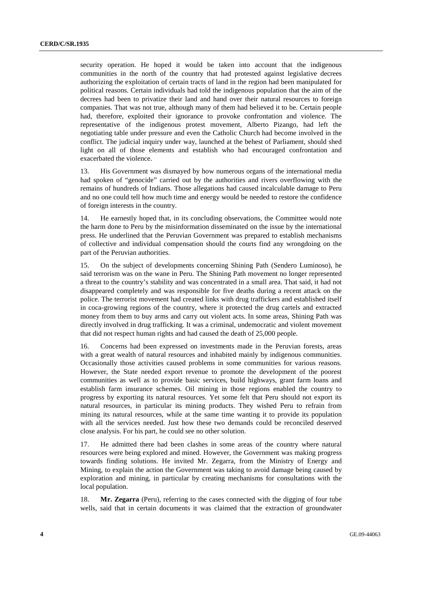security operation. He hoped it would be taken into account that the indigenous communities in the north of the country that had protested against legislative decrees authorizing the exploitation of certain tracts of land in the region had been manipulated for political reasons. Certain individuals had told the indigenous population that the aim of the decrees had been to privatize their land and hand over their natural resources to foreign companies. That was not true, although many of them had believed it to be. Certain people had, therefore, exploited their ignorance to provoke confrontation and violence. The representative of the indigenous protest movement, Alberto Pizango, had left the negotiating table under pressure and even the Catholic Church had become involved in the conflict. The judicial inquiry under way, launched at the behest of Parliament, should shed light on all of those elements and establish who had encouraged confrontation and exacerbated the violence.

13. His Government was dismayed by how numerous organs of the international media had spoken of "genocide" carried out by the authorities and rivers overflowing with the remains of hundreds of Indians. Those allegations had caused incalculable damage to Peru and no one could tell how much time and energy would be needed to restore the confidence of foreign interests in the country.

14. He earnestly hoped that, in its concluding observations, the Committee would note the harm done to Peru by the misinformation disseminated on the issue by the international press. He underlined that the Peruvian Government was prepared to establish mechanisms of collective and individual compensation should the courts find any wrongdoing on the part of the Peruvian authorities.

15. On the subject of developments concerning Shining Path (Sendero Luminoso), he said terrorism was on the wane in Peru. The Shining Path movement no longer represented a threat to the country's stability and was concentrated in a small area. That said, it had not disappeared completely and was responsible for five deaths during a recent attack on the police. The terrorist movement had created links with drug traffickers and established itself in coca-growing regions of the country, where it protected the drug cartels and extracted money from them to buy arms and carry out violent acts. In some areas, Shining Path was directly involved in drug trafficking. It was a criminal, undemocratic and violent movement that did not respect human rights and had caused the death of 25,000 people.

16. Concerns had been expressed on investments made in the Peruvian forests, areas with a great wealth of natural resources and inhabited mainly by indigenous communities. Occasionally those activities caused problems in some communities for various reasons. However, the State needed export revenue to promote the development of the poorest communities as well as to provide basic services, build highways, grant farm loans and establish farm insurance schemes. Oil mining in those regions enabled the country to progress by exporting its natural resources. Yet some felt that Peru should not export its natural resources, in particular its mining products. They wished Peru to refrain from mining its natural resources, while at the same time wanting it to provide its population with all the services needed. Just how these two demands could be reconciled deserved close analysis. For his part, he could see no other solution.

17. He admitted there had been clashes in some areas of the country where natural resources were being explored and mined. However, the Government was making progress towards finding solutions. He invited Mr. Zegarra, from the Ministry of Energy and Mining, to explain the action the Government was taking to avoid damage being caused by exploration and mining, in particular by creating mechanisms for consultations with the local population.

18. **Mr. Zegarra** (Peru), referring to the cases connected with the digging of four tube wells, said that in certain documents it was claimed that the extraction of groundwater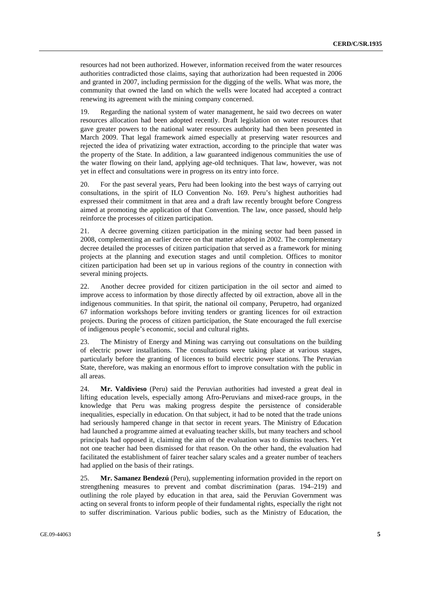resources had not been authorized. However, information received from the water resources authorities contradicted those claims, saying that authorization had been requested in 2006 and granted in 2007, including permission for the digging of the wells. What was more, the community that owned the land on which the wells were located had accepted a contract renewing its agreement with the mining company concerned.

19. Regarding the national system of water management, he said two decrees on water resources allocation had been adopted recently. Draft legislation on water resources that gave greater powers to the national water resources authority had then been presented in March 2009. That legal framework aimed especially at preserving water resources and rejected the idea of privatizing water extraction, according to the principle that water was the property of the State. In addition, a law guaranteed indigenous communities the use of the water flowing on their land, applying age-old techniques. That law, however, was not yet in effect and consultations were in progress on its entry into force.

20. For the past several years, Peru had been looking into the best ways of carrying out consultations, in the spirit of ILO Convention No. 169. Peru's highest authorities had expressed their commitment in that area and a draft law recently brought before Congress aimed at promoting the application of that Convention. The law, once passed, should help reinforce the processes of citizen participation.

21. A decree governing citizen participation in the mining sector had been passed in 2008, complementing an earlier decree on that matter adopted in 2002. The complementary decree detailed the processes of citizen participation that served as a framework for mining projects at the planning and execution stages and until completion. Offices to monitor citizen participation had been set up in various regions of the country in connection with several mining projects.

22. Another decree provided for citizen participation in the oil sector and aimed to improve access to information by those directly affected by oil extraction, above all in the indigenous communities. In that spirit, the national oil company, Perupetro, had organized 67 information workshops before inviting tenders or granting licences for oil extraction projects. During the process of citizen participation, the State encouraged the full exercise of indigenous people's economic, social and cultural rights.

23. The Ministry of Energy and Mining was carrying out consultations on the building of electric power installations. The consultations were taking place at various stages, particularly before the granting of licences to build electric power stations. The Peruvian State, therefore, was making an enormous effort to improve consultation with the public in all areas.

24. **Mr. Valdivieso** (Peru) said the Peruvian authorities had invested a great deal in lifting education levels, especially among Afro-Peruvians and mixed-race groups, in the knowledge that Peru was making progress despite the persistence of considerable inequalities, especially in education. On that subject, it had to be noted that the trade unions had seriously hampered change in that sector in recent years. The Ministry of Education had launched a programme aimed at evaluating teacher skills, but many teachers and school principals had opposed it, claiming the aim of the evaluation was to dismiss teachers. Yet not one teacher had been dismissed for that reason. On the other hand, the evaluation had facilitated the establishment of fairer teacher salary scales and a greater number of teachers had applied on the basis of their ratings.

25. **Mr. Samanez Bendezú** (Peru), supplementing information provided in the report on strengthening measures to prevent and combat discrimination (paras. 194–219) and outlining the role played by education in that area, said the Peruvian Government was acting on several fronts to inform people of their fundamental rights, especially the right not to suffer discrimination. Various public bodies, such as the Ministry of Education, the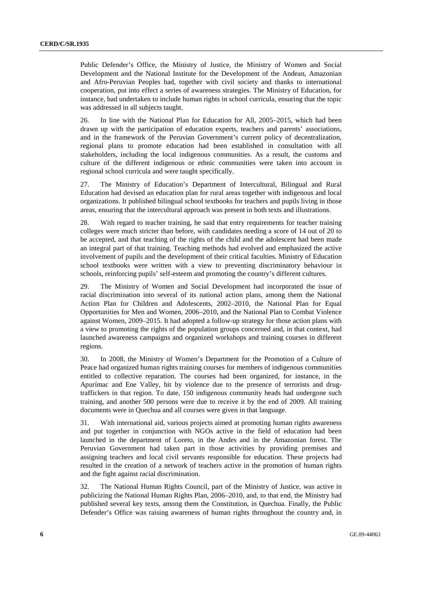Public Defender's Office, the Ministry of Justice, the Ministry of Women and Social Development and the National Institute for the Development of the Andean, Amazonian and Afro-Peruvian Peoples had, together with civil society and thanks to international cooperation, put into effect a series of awareness strategies. The Ministry of Education, for instance, had undertaken to include human rights in school curricula, ensuring that the topic was addressed in all subjects taught.

26. In line with the National Plan for Education for All, 2005–2015, which had been drawn up with the participation of education experts, teachers and parents' associations, and in the framework of the Peruvian Government's current policy of decentralization, regional plans to promote education had been established in consultation with all stakeholders, including the local indigenous communities. As a result, the customs and culture of the different indigenous or ethnic communities were taken into account in regional school curricula and were taught specifically.

27. The Ministry of Education's Department of Intercultural, Bilingual and Rural Education had devised an education plan for rural areas together with indigenous and local organizations. It published bilingual school textbooks for teachers and pupils living in those areas, ensuring that the intercultural approach was present in both texts and illustrations.

28. With regard to teacher training, he said that entry requirements for teacher training colleges were much stricter than before, with candidates needing a score of 14 out of 20 to be accepted, and that teaching of the rights of the child and the adolescent had been made an integral part of that training. Teaching methods had evolved and emphasized the active involvement of pupils and the development of their critical faculties. Ministry of Education school textbooks were written with a view to preventing discriminatory behaviour in schools, reinforcing pupils' self-esteem and promoting the country's different cultures.

29. The Ministry of Women and Social Development had incorporated the issue of racial discrimination into several of its national action plans, among them the National Action Plan for Children and Adolescents, 2002–2010, the National Plan for Equal Opportunities for Men and Women, 2006–2010, and the National Plan to Combat Violence against Women, 2009–2015. It had adopted a follow-up strategy for those action plans with a view to promoting the rights of the population groups concerned and, in that context, had launched awareness campaigns and organized workshops and training courses in different regions.

30. In 2008, the Ministry of Women's Department for the Promotion of a Culture of Peace had organized human rights training courses for members of indigenous communities entitled to collective reparation. The courses had been organized, for instance, in the Apurímac and Ene Valley, hit by violence due to the presence of terrorists and drugtraffickers in that region. To date, 150 indigenous community heads had undergone such training, and another 500 persons were due to receive it by the end of 2009. All training documents were in Quechua and all courses were given in that language.

31. With international aid, various projects aimed at promoting human rights awareness and put together in conjunction with NGOs active in the field of education had been launched in the department of Loreto, in the Andes and in the Amazonian forest. The Peruvian Government had taken part in those activities by providing premises and assigning teachers and local civil servants responsible for education. These projects had resulted in the creation of a network of teachers active in the promotion of human rights and the fight against racial discrimination.

32. The National Human Rights Council, part of the Ministry of Justice, was active in publicizing the National Human Rights Plan, 2006–2010, and, to that end, the Ministry had published several key texts, among them the Constitution, in Quechua. Finally, the Public Defender's Office was raising awareness of human rights throughout the country and, in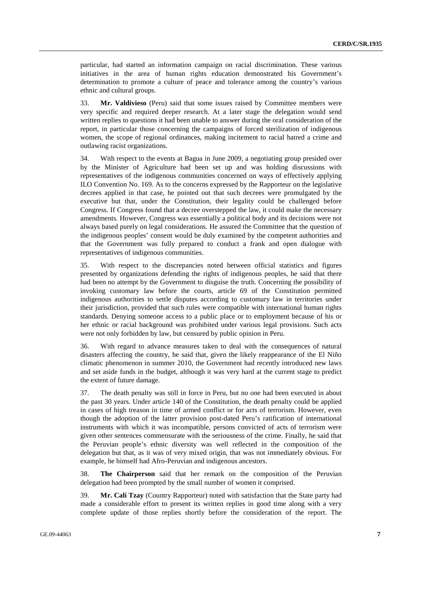particular, had started an information campaign on racial discrimination. These various initiatives in the area of human rights education demonstrated his Government's determination to promote a culture of peace and tolerance among the country's various ethnic and cultural groups.

33. **Mr. Valdivieso** (Peru) said that some issues raised by Committee members were very specific and required deeper research. At a later stage the delegation would send written replies to questions it had been unable to answer during the oral consideration of the report, in particular those concerning the campaigns of forced sterilization of indigenous women, the scope of regional ordinances, making incitement to racial hatred a crime and outlawing racist organizations.

34. With respect to the events at Bagua in June 2009, a negotiating group presided over by the Minister of Agriculture had been set up and was holding discussions with representatives of the indigenous communities concerned on ways of effectively applying ILO Convention No. 169. As to the concerns expressed by the Rapporteur on the legislative decrees applied in that case, he pointed out that such decrees were promulgated by the executive but that, under the Constitution, their legality could be challenged before Congress. If Congress found that a decree overstepped the law, it could make the necessary amendments. However, Congress was essentially a political body and its decisions were not always based purely on legal considerations. He assured the Committee that the question of the indigenous peoples' consent would be duly examined by the competent authorities and that the Government was fully prepared to conduct a frank and open dialogue with representatives of indigenous communities.

35. With respect to the discrepancies noted between official statistics and figures presented by organizations defending the rights of indigenous peoples, he said that there had been no attempt by the Government to disguise the truth. Concerning the possibility of invoking customary law before the courts, article 69 of the Constitution permitted indigenous authorities to settle disputes according to customary law in territories under their jurisdiction, provided that such rules were compatible with international human rights standards. Denying someone access to a public place or to employment because of his or her ethnic or racial background was prohibited under various legal provisions. Such acts were not only forbidden by law, but censured by public opinion in Peru.

36. With regard to advance measures taken to deal with the consequences of natural disasters affecting the country, he said that, given the likely reappearance of the El Niño climatic phenomenon in summer 2010, the Government had recently introduced new laws and set aside funds in the budget, although it was very hard at the current stage to predict the extent of future damage.

37. The death penalty was still in force in Peru, but no one had been executed in about the past 30 years. Under article 140 of the Constitution, the death penalty could be applied in cases of high treason in time of armed conflict or for acts of terrorism. However, even though the adoption of the latter provision post-dated Peru's ratification of international instruments with which it was incompatible, persons convicted of acts of terrorism were given other sentences commensurate with the seriousness of the crime. Finally, he said that the Peruvian people's ethnic diversity was well reflected in the composition of the delegation but that, as it was of very mixed origin, that was not immediately obvious. For example, he himself had Afro-Peruvian and indigenous ancestors.

38. **The Chairperson** said that her remark on the composition of the Peruvian delegation had been prompted by the small number of women it comprised.

39. **Mr. Cali Tzay** (Country Rapporteur) noted with satisfaction that the State party had made a considerable effort to present its written replies in good time along with a very complete update of those replies shortly before the consideration of the report. The